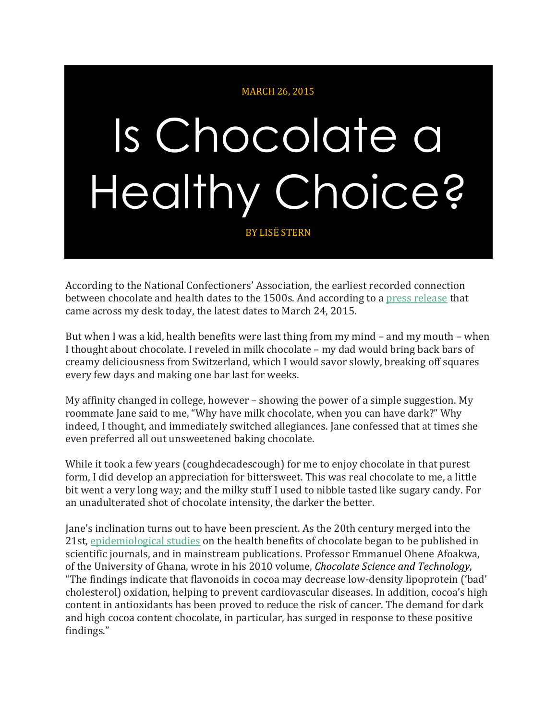## MARCH 26, 2015

## Is Chocolate a Healthy Choice?

BY LISË STERN

According to the National Confectioners' Association, the earliest recorded connection between chocolate and health dates to the 1500s. And according to a press [release](http://www.eurekalert.org/pub_releases/2015-03/acs-mfh021915.php) that came across my desk today, the latest dates to March 24, 2015.

But when I was a kid, health benefits were last thing from my mind – and my mouth – when I thought about chocolate. I reveled in milk chocolate – my dad would bring back bars of creamy deliciousness from Switzerland, which I would savor slowly, breaking off squares every few days and making one bar last for weeks.

My affinity changed in college, however – showing the power of a simple suggestion. My roommate Jane said to me, "Why have milk chocolate, when you can have dark?" Why indeed, I thought, and immediately switched allegiances. Jane confessed that at times she even preferred all out unsweetened baking chocolate.

While it took a few years (coughdecadescough) for me to enjoy chocolate in that purest form, I did develop an appreciation for bittersweet. This was real chocolate to me, a little bit went a very long way; and the milky stuff I used to nibble tasted like sugary candy. For an unadulterated shot of chocolate intensity, the darker the better.

Jane's inclination turns out to have been prescient. As the 20th century merged into the 21st, [epidemiological](http://prod.thestoryofchocolate.com/files/Taking%20Chocolate%20to%20Heart%20For%20Pleasure%20and%20Health%20%28October%202014%29%20FINAL.pdf) studies on the health benefits of chocolate began to be published in scientific journals, and in mainstream publications. Professor Emmanuel Ohene Afoakwa, of the University of Ghana, wrote in his 2010 volume, *Chocolate Science and Technology*, "The findings indicate that flavonoids in cocoa may decrease low-density lipoprotein ('bad' cholesterol) oxidation, helping to prevent cardiovascular diseases. In addition, cocoa's high content in antioxidants has been proved to reduce the risk of cancer. The demand for dark and high cocoa content chocolate, in particular, has surged in response to these positive findings."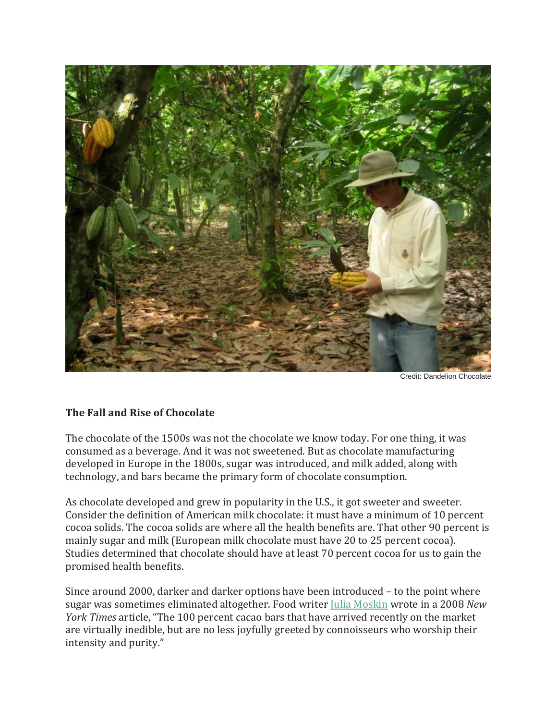

Credit: Dandelion Chocolate

## **The Fall and Rise of Chocolate**

The chocolate of the 1500s was not the chocolate we know today. For one thing, it was consumed as a beverage. And it was not sweetened. But as chocolate manufacturing developed in Europe in the 1800s, sugar was introduced, and milk added, along with technology, and bars became the primary form of chocolate consumption.

As chocolate developed and grew in popularity in the U.S., it got sweeter and sweeter. Consider the definition of American milk chocolate: it must have a minimum of 10 percent cocoa solids. The cocoa solids are where all the health benefits are. That other 90 percent is mainly sugar and milk (European milk chocolate must have 20 to 25 percent cocoa). Studies determined that chocolate should have at least 70 percent cocoa for us to gain the promised health benefits.

Since around 2000, darker and darker options have been introduced – to the point where sugar was sometimes eliminated altogether. Food writer Julia [Moskin](http://www.nytimes.com/2008/02/13/dining/13chocolate.html) wrote in a 2008 *New York Times* article, "The 100 percent cacao bars that have arrived recently on the market are virtually inedible, but are no less joyfully greeted by connoisseurs who worship their intensity and purity."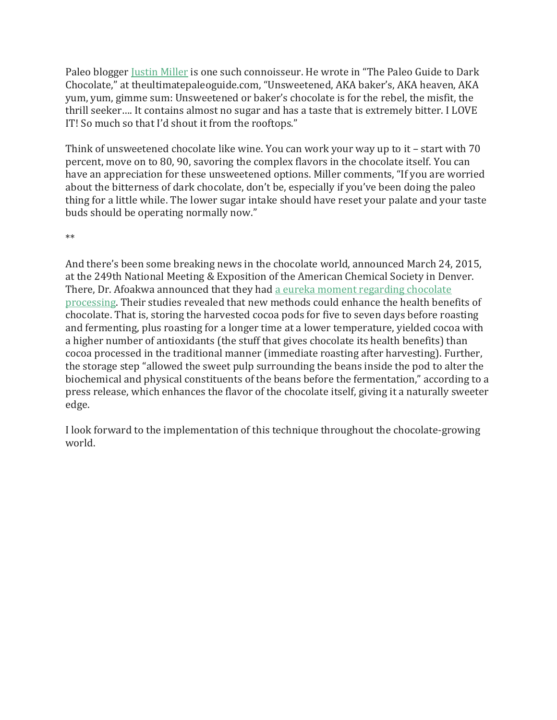Paleo blogger Justin [Miller](http://ultimatepaleoguide.com/author/justin/) is one such connoisseur. He wrote in "The Paleo Guide to Dark Chocolate," at theultimatepaleoguide.com, "Unsweetened, AKA baker's, AKA heaven, AKA yum, yum, gimme sum: Unsweetened or baker's chocolate is for the rebel, the misfit, the thrill seeker…. It contains almost no sugar and has a taste that is extremely bitter. I LOVE IT! So much so that I'd shout it from the rooftops."

Think of unsweetened chocolate like wine. You can work your way up to it – start with 70 percent, move on to 80, 90, savoring the complex flavors in the chocolate itself. You can have an appreciation for these unsweetened options. Miller comments, "If you are worried about the bitterness of dark chocolate, don't be, especially if you've been doing the paleo thing for a little while. The lower sugar intake should have reset your palate and your taste buds should be operating normally now."

\*\*

And there's been some breaking news in the chocolate world, announced March 24, 2015, at the 249th National Meeting & Exposition of the American Chemical Society in Denver. There, Dr. Afoakwa announced that they had a eureka moment [regarding](https://www.youtube.com/watch?v=SXk3ooFEGk8&list=PLLG7h7fPoH8LtUyqg-vxxZO3GlujdfXh6&index=14) chocolate [processing.](https://www.youtube.com/watch?v=SXk3ooFEGk8&list=PLLG7h7fPoH8LtUyqg-vxxZO3GlujdfXh6&index=14) Their studies revealed that new methods could enhance the health benefits of chocolate. That is, storing the harvested cocoa pods for five to seven days before roasting and fermenting, plus roasting for a longer time at a lower temperature, yielded cocoa with a higher number of antioxidants (the stuff that gives chocolate its health benefits) than cocoa processed in the traditional manner (immediate roasting after harvesting). Further, the storage step "allowed the sweet pulp surrounding the beans inside the pod to alter the biochemical and physical constituents of the beans before the fermentation," according to a press release, which enhances the flavor of the chocolate itself, giving it a naturally sweeter edge.

I look forward to the implementation of this technique throughout the chocolate-growing world.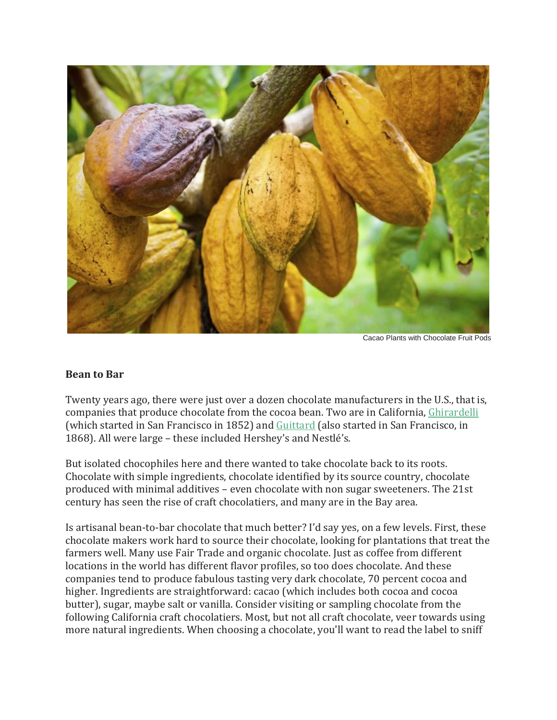

Cacao Plants with Chocolate Fruit Pods

## **Bean to Bar**

Twenty years ago, there were just over a dozen chocolate manufacturers in the U.S., that is, companies that produce chocolate from the cocoa bean. Two are in California, [Ghirardelli](http://www.ghirardelli.com/) (which started in San Francisco in 1852) and [Guittard](https://www.guittard.com/) (also started in San Francisco, in 1868). All were large – these included Hershey's and Nestlé's.

But isolated chocophiles here and there wanted to take chocolate back to its roots. Chocolate with simple ingredients, chocolate identified by its source country, chocolate produced with minimal additives – even chocolate with non sugar sweeteners. The 21st century has seen the rise of craft chocolatiers, and many are in the Bay area.

Is artisanal bean-to-bar chocolate that much better? I'd say yes, on a few levels. First, these chocolate makers work hard to source their chocolate, looking for plantations that treat the farmers well. Many use Fair Trade and organic chocolate. Just as coffee from different locations in the world has different flavor profiles, so too does chocolate. And these companies tend to produce fabulous tasting very dark chocolate, 70 percent cocoa and higher. Ingredients are straightforward: cacao (which includes both cocoa and cocoa butter), sugar, maybe salt or vanilla. Consider visiting or sampling chocolate from the following California craft chocolatiers. Most, but not all craft chocolate, veer towards using more natural ingredients. When choosing a chocolate, you'll want to read the label to sniff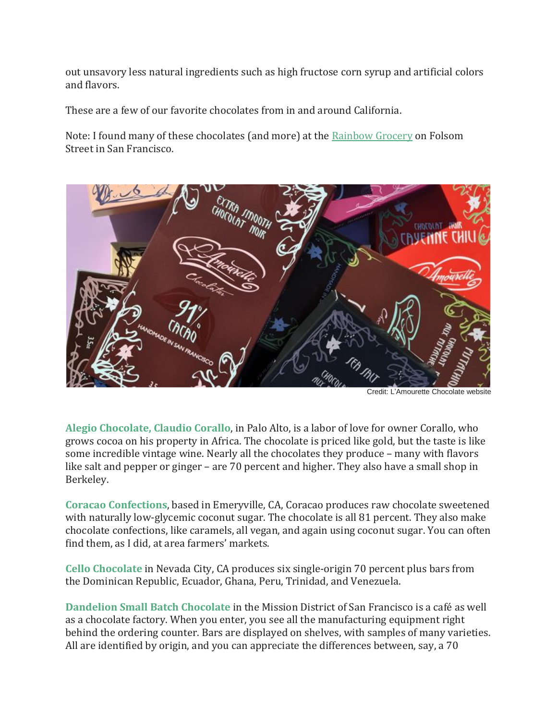out unsavory less natural ingredients such as high fructose corn syrup and artificial colors and flavors.

These are a few of our favorite chocolates from in and around California.

Note: I found many of these chocolates (and more) at the [Rainbow](http://www.rainbow.coop/) Grocery on Folsom Street in San Francisco.



Credit: L'Amourette Chocolate website

**Alegio [Chocolate,](http://www.alegio.com/collections/all) Claudio Corallo**, in Palo Alto, is a labor of love for owner Corallo, who grows cocoa on his property in Africa. The chocolate is priced like gold, but the taste is like some incredible vintage wine. Nearly all the chocolates they produce – many with flavors like salt and pepper or ginger – are 70 percent and higher. They also have a small shop in Berkeley.

**Coracao [Confections](http://www.coracaoconfections.com/)**, based in Emeryville, CA, Coracao produces raw chocolate sweetened with naturally low-glycemic coconut sugar. The chocolate is all 81 percent. They also make chocolate confections, like caramels, all vegan, and again using coconut sugar. You can often find them, as I did, at area farmers' markets.

**Cello [Chocolate](http://www.cellochocolate.com/)** in Nevada City, CA produces six single-origin 70 percent plus bars from the Dominican Republic, Ecuador, Ghana, Peru, Trinidad, and Venezuela.

**[Dandelion](http://www.dandelionchocolate.com/) Small Batch Chocolate** in the Mission District of San Francisco is a café as well as a chocolate factory. When you enter, you see all the manufacturing equipment right behind the ordering counter. Bars are displayed on shelves, with samples of many varieties. All are identified by origin, and you can appreciate the differences between, say, a 70